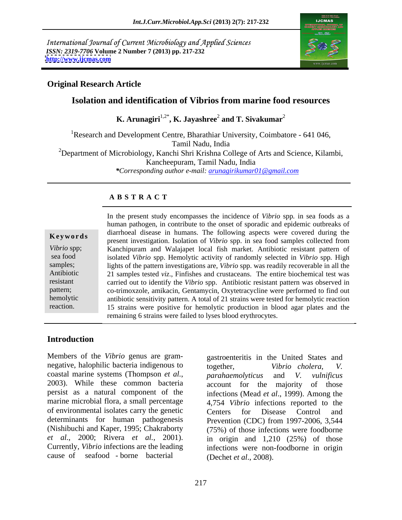International Journal of Current Microbiology and Applied Sciences *ISSN: 2319-7706* **Volume 2 Number 7 (2013) pp. 217-232 <http://www.ijcmas.com>**



## **Original Research Article**

# **Isolation and identification of Vibrios from marine food resources**

 $\mathbf{K}.$  Arunagiri $^{1,2^*}, \mathbf{K}.$  Jayashree $^2$  and  $\mathbf{T}.$  Sivakumar $^2$  **and T. Sivakumar**<sup>2</sup>

<sup>1</sup>Research and Development Centre, Bharathiar University, Coimbatore - 641 046,<br>Tamil Nadu, India <sup>2</sup>Department of Microbiology, Kanchi Shri Krishna College of Arts and Science, Kilambi, Kancheepuram, Tamil Nadu, India *\*Corresponding author e-mail: arunagirikumar01@gmail.com*

### **A B S T R A C T**

**Keywords** and disease in numaris. The following aspects were covered during the present investigation. Isolation of *Vibrio* spp. in sea food samples collected from *Vibrio* spp; Kanchipuram and Walajapet local fish market. Antibiotic resistant pattern of sea food isolated *Vibrio* spp. Hemolytic activity of randomly selected in *Vibrio* spp*.* High samples; lights of the pattern investigations are, *Vibrio* spp. was readily recoverable in all the Antibiotic 21 samples tested *viz*., Finfishes and crustaceans. The entire biochemical test was resistant carried out to identify the *Vibrio* spp. Antibiotic resistant pattern was observed in pattern; co-trimoxzole, amikacin, Gentamycin, Oxytetracycline were performed to find out hemolytic antibiotic sensitivity pattern. A total of 21 strains were tested for hemolytic reaction reaction. 15 strains were positive for hemolytic production in blood agar plates and the In the present study encompasses the incidence of *Vibrio* spp*.* in sea foods as a human pathogen, in contribute to the onset of sporadic and epidemic outbreaks of diarrhoeal disease in humans. The following aspects were covered during the remaining 6 strains were failed to lyses blood erythrocytes.

# **Introduction**

Members of the *Vibrio* genus are gram negative, halophilic bacteria indigenous to together, *Vibrio cholera*, *V.* of environmental isolates carry the genetic determinants for human pathogenesis Prevention (CDC) from 1997-2006, 3.544 *et al.*, 2000; Rivera *et al.*, 2001). cause of seafood - borne bacterial

.

coastal marine systems (Thompson *et al.*, *parahaemolyticus* and *V. vulnificus*<br>2003). While these common bacteria account for the maiority of those persist as a natural component of the infections (Mead *et al*., 1999). Among the marine microbial flora, a small percentage 4,754 *Vibrio* infections reported to the (Nishibuchi and Kaper, 1995; Chakraborty (75%) of those infections were foodborne Currently, *Vibrio* infections are the leading infections were non-foodborne in origin gastroenteritis in the United States and  $Vibrio$  *cholera*, *parahaemolyticus* and *V. vulnificus* account for the majority of those Centers for Disease Control and Prevention (CDC) from 1997-2006, 3,544 in origin and 1,210 (25%) of those (Dechet *et al*., 2008).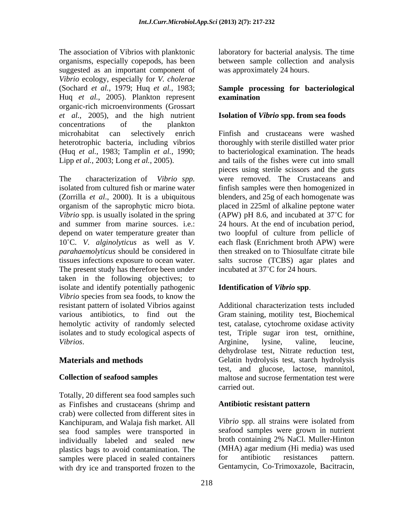The association of Vibrios with planktonic laboratory for bacterial analysis. The time organisms, especially copepods, has been suggested as an important component of *Vibrio* ecology, especially for *V. cholerae* (Sochard *et al.*, 1979; Huq *et al.*, 1983; **Sample processing for bacteriological** Huq *et al.*, 2005). Plankton represent organic-rich microenvironments (Grossart *et al.*, 2005), and the high nutrient **Isolation of** *Vibrio* **spp. from sea foods** concentrations of the plankton (Huq *et al.*, 1983; Tamplin *et al.*, 1990;

The characterization of *Vibrio spp.* were removed. The Crustaceans and isolated from cultured fish or marine water finfish samples were then homogenized in (Zorrilla *et al*., 2000). It is a ubiquitous blenders, and 25g of each homogenate was organism of the saprophytic micro biota. placed in 225ml of alkaline peptone water *Vibrio* spp. is usually isolated in the spring (APW) pH 8.6, and incubated at 37<sup>°</sup>C for and summer from marine sources. i.e.: 24 hours. At the end of incubation period, depend on water temperature greater than two loopful of culture from pellicle of 10 C. *V. alginolyticus* as well as *V.* each flask (Enrichment broth APW) were *parahaemolyticus* should be considered in tissues infections exposure to ocean water. salts sucrose (TCBS) agar plates and The present study has therefore been under  $\frac{1}{2}$  incubated at 37°C for 24 hours. taken in the following objectives; to isolate and identify potentially pathogenic **Identification of Vibrio spp.** *Vibrio* species from sea foods, to know the resistant pattern of isolated Vibrios against various antibiotics, to find out the Gram staining, motility test, Biochemical hemolytic activity of randomly selected test, catalase, cytochrome oxidase activity isolates and to study ecological aspects of test, Triple sugar iron test, ornithine, *Vibrios*. **And Allen Arginine**, lysine, valine, leucine,

Totally, 20 different sea food samples such as Finfishes and crustaceans (shrimp and crab) were collected from different sites in Kanchipuram, and Walaja fish market. All sea food samples were transported in individually labeled and sealed new plastics bags to avoid contamination. The (MHA) agar medium (Hi media) was used<br>samples were placed in sealed containers for antibiotic resistances pattern. samples were placed in sealed containers with dry ice and transported frozen to the

between sample collection and analysis was approximately 24 hours.

# **examination**

microhabitat can selectively enrich Finfish and crustaceans were washed heterotrophic bacteria, including vibrios thoroughly with sterile distilled water prior Lipp *et al.*, 2003; Long *et al.*, 2005). and tails of the fishes were cut into small to bacteriological examination. The heads pieces using sterile scissors and the guts then streaked on to Thiosulfate citrate bile incubated at  $37^{\circ}$ C for 24 hours.

**Materials and methods** Gelatin hydrolysis test, starch hydrolysis **Collection of seafood samples** maltose and sucrose fermentation test were **Identification of** *Vibrio* **spp**. Additional characterization tests included Arginine, lysine, valine, leucine, dehydrolase test, Nitrate reduction test, test, and glucose, lactose, mannitol, carried out.

# **Antibiotic resistant pattern**

*Vibrio* spp. all strains were isolated from seafood samples were grown in nutrient broth containing 2% NaCl. Muller-Hinton (MHA) agar medium (Hi media) was used for antibiotic resistances pattern. Gentamycin, Co-Trimoxazole, Bacitracin,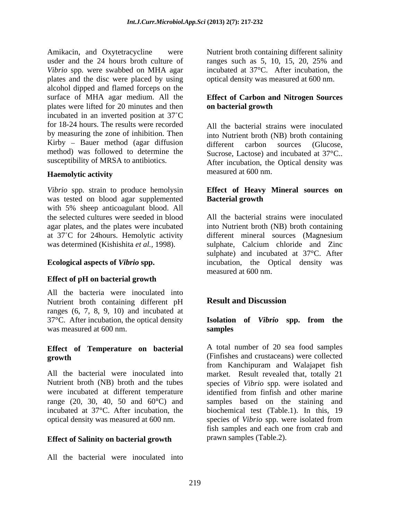Amikacin, and Oxytetracycline were Nutrient broth containing different salinity usder and the 24 hours broth culture of ranges such as 5, 10, 15, 20, 25% and *Vibrio* spp*.* were swabbed on MHA agar plates and the disc were placed by using alcohol dipped and flamed forceps on the surface of MHA agar medium. All the **Effect of Carbon and Nitrogen Sources** plates were lifted for 20 minutes and then **on bacterial growth** incubated in an inverted position at 37 C for 18-24 hours. The results were recorded by measuring the zone of inhibition. Then Kirby – Bauer method (agar diffusion alifferent carbon sources (Glucose, method) was followed to determine the Sucrose, Lactose) and incubated at 37°C..

*Vibrio* spp*.* strain to produce hemolysin was tested on blood agar supplemented with 5% sheep anticoagulant blood. All<br>the selected cultures were seeded in blood at 37°C for 24 hours. Hemolytic activity different mineral sources (Magnesium

### **Effect of pH on bacterial growth**

All the bacteria were inoculated into<br>Nutrient broth containing different pH **Result and Discussion** Nutrient broth containing different pH ranges (6, 7, 8, 9, 10) and incubated at 37°C. After incubation, the optical density **Isolation of** *Vibrio* **spp. from the** was measured at 600 nm. Samples

# **Effect of Temperature on bacterial**

were incubated at different temperature identified from finfish and other marine incubated at 37°C. After incubation, the optical density was measured at 600 nm.

### **Effect of Salinity on bacterial growth**

All the bacterial were inoculated into

ranges such as 5, 10, 15, 20, 25% and incubated at 37°C. After incubation, the optical density was measured at 600 nm.

# **on bacterial growth**

susceptibility of MRSA to antibiotics. After incubation, the Optical density was **Haemolytic activity** All the bacterial strains were inoculated into Nutrient broth (NB) broth containing different carbon sources (Glucose, measured at 600 nm.

### **Effect of Heavy Mineral sources on Bacterial growth**

the selected cultures were seeded in blood All the bacterial strains were inoculated agar plates, and the plates were incubated into Nutrient broth (NB) broth containing was determined (Kishishita *et al.,* 1998). sulphate, Calcium chloride and Zinc **Ecological aspects of** *Vibrio* **spp.** incubation, the Optical density was different mineral sources (Magnesium sulphate) and incubated at 37°C. After measured at 600 nm.

# **Result and Discussion**

# **samples**

**growth** (Finfishes and crustaceans) were collected All the bacterial were inoculated into market. Result revealed that, totally 21 Nutrient broth (NB) broth and the tubes species of *Vibrio* spp. were isolated and range  $(20, 30, 40, 50, 40)$  and  $60^{\circ}$ C and samples based on the staining and A total number of 20 sea food samples from Kanchipuram and Walajapet fish identified from finfish and other marine biochemical test (Table.1). In this, 19 species of *Vibrio* spp. were isolated from fish samples and each one from crab and prawn samples (Table.2).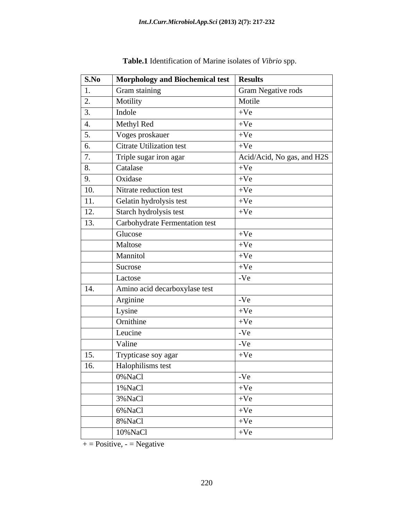| S.No              | <b>Morphology and Biochemical test</b> | <b>Results</b>             |
|-------------------|----------------------------------------|----------------------------|
| $\vert 1.$        | Gram staining                          | <b>Gram Negative rods</b>  |
| $\overline{2}$ .  | Motility                               | Motile                     |
| $\boxed{3}$ .     | Indole                                 | $+Ve$                      |
| $\vert 4.$        | Methyl Red                             | $+Ve$                      |
| $\boxed{5}$       | Voges proskauer                        | $+Ve$                      |
| $\boxed{6}$       | <b>Citrate Utilization test</b>        | $+Ve$                      |
| 7.                | Triple sugar iron agar                 | Acid/Acid, No gas, and H2S |
| 8.                | Catalase                               | $+Ve$                      |
| $\sqrt{9}$ .      | Oxidase                                | $+Ve$                      |
| <b>10.</b>        | Nitrate reduction test                 | $+Ve$                      |
| $\boxed{11}$      | Gelatin hydrolysis test                | $+Ve$                      |
| <sup>12.</sup>    | Starch hydrolysis test                 | $+Ve$                      |
| 13.               | Carbohydrate Fermentation test         |                            |
|                   | Glucose                                | $+Ve$                      |
|                   | Maltose                                | $+Ve$                      |
|                   | Mannitol                               | $+Ve$                      |
|                   | Sucrose                                | $+Ve$                      |
|                   | Lactose                                | $-Ve$                      |
| $\vert$ 14.       | Amino acid decarboxylase test          |                            |
|                   | Arginine                               | $-Ve$                      |
|                   | Lysine                                 | $+Ve$                      |
|                   | Ornithine                              | $+Ve$                      |
|                   | Leucine                                | $-Ve$                      |
|                   | Valine                                 | $-Ve$                      |
| 15.               | Trypticase soy agar                    | $+Ve$                      |
| $\overline{16}$ . | Halophilisms test                      |                            |
|                   | 0%NaCl                                 | $-Ve$                      |
|                   | 1%NaCl                                 | $+Ve$                      |
|                   | 3% NaCl                                | $+Ve$                      |
|                   | 6% NaCl                                | $+Ve$                      |
|                   | 8%NaCl                                 | $+Ve$                      |
|                   | 10% NaCl                               | $+Ve$                      |

**Table.1** Identification of Marine isolates of *Vibrio* spp.

 $+$  = Positive, - = Negative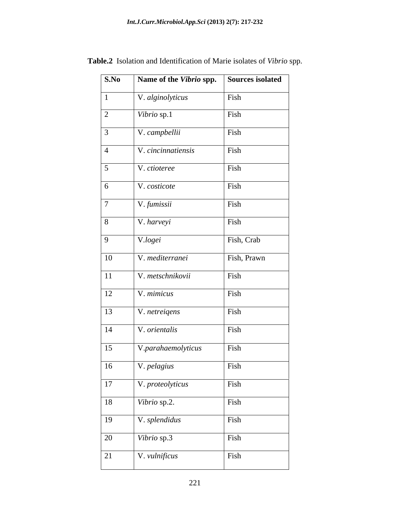| Name of the Vibrio spp. | <b>Sources isolated</b> |
|-------------------------|-------------------------|
| V. alginolyticus        | Fish                    |
| Vibrio sp.1             | Fish                    |
| V. campbellii           | Fish                    |
| V. cincinnatiensis      | Fish                    |
| V. ctioteree            | Fish                    |
| V. costicote            | Fish                    |
| V. fumissii             | Fish                    |
| V. harveyi              | Fish                    |
| V.logei                 | Fish, Crab              |
| V. mediterranei         | Fish, Prawn             |
| V. metschnikovii        | Fish                    |
| V. mimicus              | Fish                    |
| V. netreigens           | Fish                    |
| V. orientalis           | Fish                    |
| V.parahaemolyticus      | Fish                    |
| V. pelagius             | Fish                    |
| V. proteolyticus        | Fish                    |
| Vibrio sp.2.            | Fish                    |
| V. splendidus           | Fish                    |
| Vibrio sp.3             | Fish                    |
| V. vulnificus           | Fish                    |
|                         |                         |

**Table.2** Isolation and Identification of Marie isolates of *Vibrio* spp.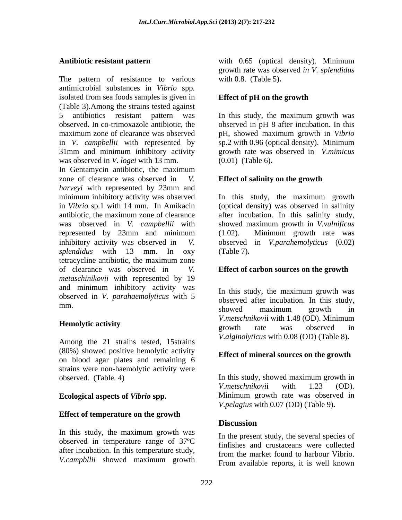The pattern of resistance to various antimicrobial substances in *Vibrio* spp*.* isolated from sea foods samples is given in (Table 3).Among the strains tested against 5 antibiotics resistant pattern was In this study, the maximum growth was observed. In co-trimoxazole antibiotic, the observed in pH 8 after incubation. In this maximum zone of clearance was observed pH, showed maximum growth in *Vibrio* in *V. campbellii* with represented by sp.2 with 0.96 (optical density). Minimum 31mm and minimum inhibitory activity was observed in *V. logei* with 13 mm.

In Gentamycin antibiotic, the maximum zone of clearance was observed in *V.* **Effect of salinity on the growth**  *harveyi* with represented by 23mm and minimum inhibitory activity was observed in *Vibrio* sp.1 with 14 mm. In Amikacin (optical density) was observed in salinity antibiotic, the maximum zone of clearance after incubation.In this salinity study, was observed in *V. campbellii* with showed maximum growth in *V.vulnificus* represented by 23mm and minimum (1.02). Minimum growth rate was inhibitory activity was observed in *V.* observed in *V.parahemolyticus* (0.02) *splendidus* with 13 mm. In oxy tetracycline antibiotic, the maximum zone of clearance was observed in *V.*  **Effect of carbon sources on the growth**  *metaschinikovii* with represented by 19 and minimum inhibitory activity was observed in *V. parahaemolyticus* with 5

Among the 21 strains tested, 15strains (80%) showed positive hemolytic activity on blood agar plates and remaining 6 strains were non-haemolytic activity were

# **Effect of temperature on the growth**

In this study, the maximum growth was observed in temperature range of 37ºC after incubation. In this temperature study,<br>
from the market found to harbour Vibrio. *V.campbllii* showed maximum growth **Example Example From available reports** it is well known

**Antibiotic resistant pattern** with 0.65 (optical density). Minimum growth rate was observed *in V. splendidus* with 0.8. (Table 5)**.**

## **Effect of pH on the growth**

growth rate was observed in *V.mimicus* (0.01) (Table 6)**.**

In this study, the maximum growth (1.02). Minimum growth rate was (Table 7)**.**

mm. and the measurement of the measurement of the measurement of the measurement of the measurement of the measurement of the measurement of the measurement of the measurement of the measurement of the measurement of the m **Hemolytic activity**<br> **Example 1998 Hemolytic activity** In this study, the maximum growth was observed after incubation. In this study, showed maximum growth in *V.metschnikovi*i with 1.48 (OD). Minimum growth rate was observed in *V.alginolyticus* with 0.08 (OD) (Table 8)**.**

### **Effect of mineral sources on the growth**

observed. (Table. 4) In this study, showed maximum growth in<br>V.metschnikovii with 1.23 (OD). **Ecological aspects of** *Vibrio* **spp.** Minimum growth rate was observed in In this study, showed maximum growth in *V.metschnikovi*i with 1.23 (OD). *V.pelagius* with 0.07 (OD) (Table 9)**.**

## **Discussion**

In the present study, the several species of finfishes and crustaceans were collected from the market found to harbour Vibrio. From available reports, it is well known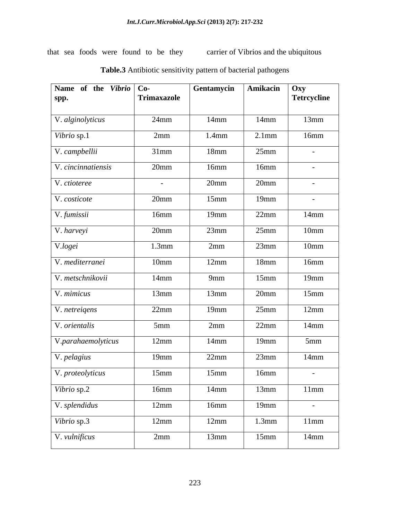that sea foods were found to be they carrier of Vibrios and the ubiquitous

| Name of the Vibrio Co-<br>spp. | Trimaxazole          | Gentamycin | Amikacin | Oxy<br>Tetrcycline |
|--------------------------------|----------------------|------------|----------|--------------------|
| V. alginolyticus               | $24$ mm              | $14$ mm    | $14$ mm  | 13mm               |
| Vibrio sp.1                    | 2mm                  | $1.4$ mm   | $2.1$ mm | $16$ mm            |
| V. campbellii                  | $31$ mm              | 18mm       | 25mm     | $\sim$ $-$         |
| V. cincinnatiensis             | $20$ mm              | 16mm       | 16mm     | $\sim$ $ \sim$     |
| V. ctioteree                   | $\sim 100$ m $^{-1}$ | $20$ mm    | $20$ mm  | $\sim$ $-$         |
| V. costicote                   | $20$ mm              | 15mm       | $19$ mm  | $-$                |
| V. fumissii                    | 16mm                 | $19$ mm    | $22$ mm  | $14$ mm            |
| V. harveyi                     | $20$ mm              | 23mm       | 25mm     | 10 <sub>mm</sub>   |
| V.logei                        | $1.3$ mm             | 2mm        | 23mm     | 10 <sub>mm</sub>   |
| V. mediterranei                | 10 <sub>mm</sub>     | 12mm       | $18$ mm  | 16mm               |
| V. metschnikovii               | $14$ mm              | 9mm        | $15$ mm  | $19$ mm            |
| V. mimicus                     | 13mm                 | 13mm       | $20$ mm  | $15$ mm            |
| V. netreigens                  | 22mm                 | 19mm       | 25mm     | 12mm               |
| V. orientalis                  | $5$ mm               | 2mm        | $22$ mm  | $14$ mm            |
| V.parahaemolyticus             | 12mm                 | $14$ mm    | 19mm     | 5mm                |
| V. pelagius                    | $19$ mm              | $22$ mm    | $23$ mm  | $14$ mm            |
| V. proteolyticus               | 15mm                 | $15$ mm    | 16mm     | $\sim$ $-$         |
| Vibrio sp.2                    | 16mm                 | $14$ mm    | 13mm     | 11mm               |
| V. splendidus                  | 12mm                 | 16mm       | $19$ mm  | $\sim 10^{-10}$    |
| Vibrio sp.3                    | 12mm                 | 12mm       | 1.3mm    | 11mm               |
| V. vulnificus                  | 2mm                  | 13mm       | 15mm     | $14$ mm            |

**Table.3** Antibiotic sensitivity pattern of bacterial pathogens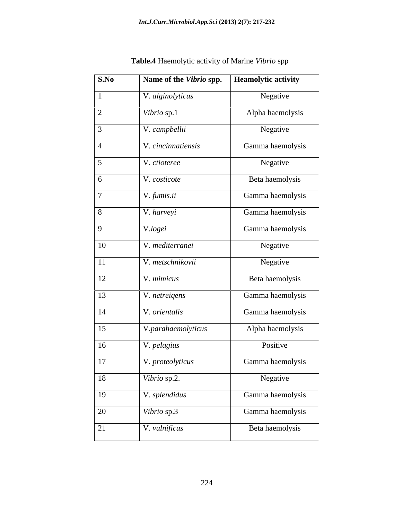| S.No            | Name of the Vibrio spp. | <b>Heamolytic activity</b> |
|-----------------|-------------------------|----------------------------|
|                 | V. alginolyticus        | Negative                   |
| $\overline{2}$  | Vibrio sp.1             | Alpha haemolysis           |
| $\overline{3}$  | V. campbellii           | Negative                   |
| $\overline{4}$  | V. cincinnatiensis      | Gamma haemolysis           |
| $5\overline{)}$ | V. ctioteree            | Negative                   |
| 6               | V. costicote            | Beta haemolysis            |
| $\overline{7}$  | V. fumis.ii             | Gamma haemolysis           |
| 8               | V. harveyi              | Gamma haemolysis           |
| 9               | V.logei                 | Gamma haemolysis           |
| 10              | V. mediterranei         | Negative                   |
| 11              | V. metschnikovii        | Negative                   |
| 12              | V. mimicus              | Beta haemolysis            |
| 13              | V. netreigens           | Gamma haemolysis           |
| 14              | V. orientalis           | Gamma haemolysis           |
| 15              | V.parahaemolyticus      | Alpha haemolysis           |
| <sup>16</sup>   | V. pelagius             | Positive                   |
| 17              | V. proteolyticus        | Gamma haemolysis           |
| 18              | Vibrio sp.2.            | Negative                   |
| 19              | V. splendidus           | Gamma haemolysis           |
| 20              | Vibrio sp.3             | Gamma haemolysis           |
| 21              | V. vulnificus           | Beta haemolysis            |

**Table.4** Haemolytic activity of Marine *Vibrio* spp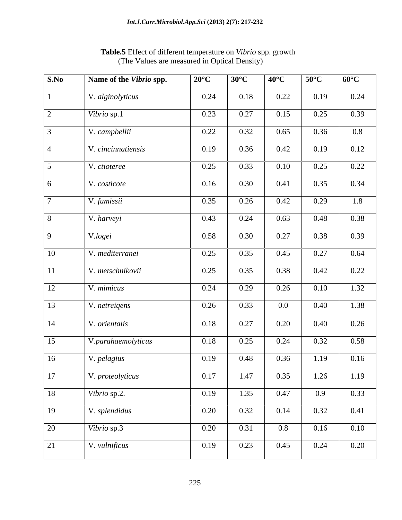| S.No           | Name of the Vibrio spp. | $20^{\circ}$ C | $30^{\circ}$ C | $40^{\circ}$ C | $50^{\circ}$ C   | $60^{\circ}C$ |
|----------------|-------------------------|----------------|----------------|----------------|------------------|---------------|
|                | V. alginolyticus        | 0.24           | 0.18           | 0.22           | 0.19             | 0.24          |
| $\bigcap$      | Vibrio sp.1             | 0.23           | 0.27           | 0.15           | 0.25             | 0.39          |
|                | V. campbellii           | 0.22           | 0.32           | 0.65           | 0.36             | $0.8\,$       |
| $\overline{A}$ | V. cincinnatiensis      | 0.19           | 0.36           | 0.42           | 0.19             | 0.12          |
| $\leq$         | V. ctioteree            | 0.25           | 0.33           | 0.10           | 0.25             | 0.22          |
| -6             | V. costicote            | 0.16           | 0.30           | 0.41           | 0.35             | 0.34          |
|                | V. fumissii             | 0.35           | 0.26           | 0.42           | 0.29             | 1.8           |
| -8             | $\sqrt{\ }V$ . harveyi  | 0.43           | 0.24           | 0.63           | 0.48             | 0.38          |
| $\mathbf Q$    | V.logei                 | 0.58           | 0.30           | 0.27           | 0.38             | 0.39          |
| 10             | V. mediterranei         | 0.25           | 0.35           | 0.45           | 0.27             | 0.64          |
| 11             | V. metschnikovii        | 0.25           | 0.35           | 0.38           | 0.42             | 0.22          |
| 12             | $\sqrt{V}$ . mimicus    | 0.24           | 0.29           | 0.26           | 0.10             | 1.32          |
| 13             | V. netreigens           | 0.26           | 0.33           | $0.0\,$        | 0.40             | 1.38          |
| 14             | V. orientalis           | 0.18           | 0.27           | 0.20           | 0.40             | 0.26          |
| 15             | V.parahaemolyticus      | 0.18           | 0.25           | 0.24           | 0.32             | 0.58          |
|                |                         |                |                |                |                  |               |
| 16             | V. pelagius             | 0.19           | 0.48           | 0.36           | 1.19             | 0.16          |
| 17             | V. proteolyticus        | 0.17           | 1.47           | 0.35           | 1.26             | 1.19          |
| 18             | Vibrio sp.2.            | 0.19           | 1.35           | 0.47           | 0.9 <sub>o</sub> | 0.33          |
| 19             | V. splendidus           | 0.20           | 0.32           | 0.14           | 0.32             | 0.41          |
| 20             | Vibrio sp.3             | 0.20           | 0.31           | $0.8\,$        | 0.16             | 0.10          |
| 21             | V. vulnificus           | 0.19           | 0.23           | 0.45           | 0.24             | 0.20          |

**Table.5** Effect of different temperature on *Vibrio* spp. growth (The Values are measured in Optical Density)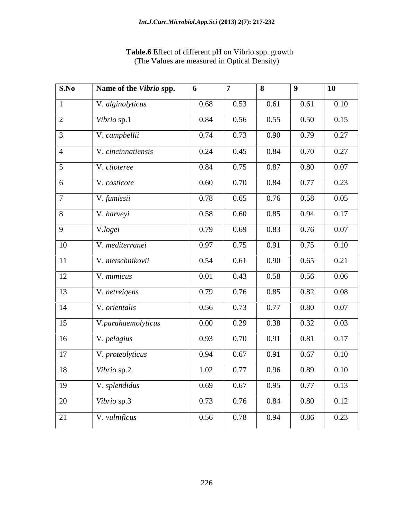| S.No            | Name of the Vibrio spp. | 6    | 7    | 8    | $\begin{array}{c} \hline \end{array}$ | <b>10</b> |
|-----------------|-------------------------|------|------|------|---------------------------------------|-----------|
|                 | V. alginolyticus        | 0.68 | 0.53 | 0.61 | 0.61                                  | 0.10      |
| 2               | Vibrio sp.1             | 0.84 | 0.56 | 0.55 | 0.50                                  | 0.15      |
| $\overline{3}$  | V. campbellii           | 0.74 | 0.73 | 0.90 | 0.79                                  | 0.27      |
| $\overline{4}$  | V. cincinnatiensis      | 0.24 | 0.45 | 0.84 | 0.70                                  | 0.27      |
| $5\overline{)}$ | V. ctioteree            | 0.84 | 0.75 | 0.87 | 0.80                                  | 0.07      |
| 6               | V. costicote            | 0.60 | 0.70 | 0.84 | 0.77                                  | 0.23      |
| $\overline{7}$  | V. fumissii             | 0.78 | 0.65 | 0.76 | 0.58                                  | 0.05      |
| 8               | V. harveyi              | 0.58 | 0.60 | 0.85 | 0.94                                  | 0.17      |
| $\overline{9}$  | V.logei                 | 0.79 | 0.69 | 0.83 | 0.76                                  | 0.07      |
| 10              | V. mediterranei         | 0.97 | 0.75 | 0.91 | 0.75                                  | 0.10      |
| <sup>11</sup>   | V. metschnikovii        | 0.54 | 0.61 | 0.90 | 0.65                                  | 0.21      |
| 12              | V. mimicus              | 0.01 | 0.43 | 0.58 | 0.56                                  | 0.06      |
| 13              | V. netreigens           | 0.79 | 0.76 | 0.85 | 0.82                                  | 0.08      |
| 14              | V. orientalis           | 0.56 | 0.73 | 0.77 | 0.80                                  | 0.07      |
| 15              | V.parahaemolyticus      | 0.00 | 0.29 | 0.38 | 0.32                                  | 0.03      |
| 16              | V. pelagius             | 0.93 | 0.70 | 0.91 | 0.81                                  | 0.17      |
| 17              | V. proteolyticus        | 0.94 | 0.67 | 0.91 | 0.67                                  | 0.10      |
| 18              | Vibrio sp.2.            | 1.02 | 0.77 | 0.96 | 0.89                                  | 0.10      |
| <sup>19</sup>   | V. splendidus           | 0.69 | 0.67 | 0.95 | 0.77                                  | 0.13      |
| 20              | Vibrio sp.3             | 0.73 | 0.76 | 0.84 | 0.80                                  | 0.12      |
| 21              | V. vulnificus           | 0.56 | 0.78 | 0.94 | 0.86                                  | 0.23      |

# **Table.6** Effect of different pH on Vibrio spp. growth (The Values are measured in Optical Density)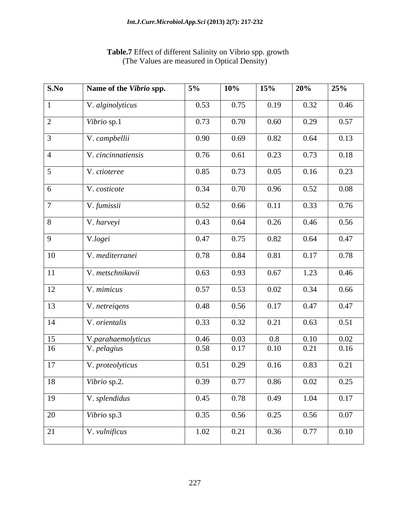### *Int.J.Curr.Microbiol.App.Sci* **(2013) 2(7): 217-232**

| S.No                   | Name of the Vibrio spp. | $5\%$        | $\vert$ 10%  | 15%             | 20%          | 25%          |
|------------------------|-------------------------|--------------|--------------|-----------------|--------------|--------------|
|                        | V. alginolyticus        | 0.53         | 0.75         | 0.19            | 0.32         | 0.46         |
|                        | Vibrio sp.1             | 0.73         | 0.70         | 0.60            | 0.29         | 0.57         |
|                        | V. campbellii           | 0.90         | 0.69         | 0.82            | 0.64         | 0.13         |
|                        | V. cincinnatiensis      | 0.76         | 0.61         | 0.23            | 0.73         | 0.18         |
|                        | V. ctioteree            | 0.85         | 0.73         | 0.05            | 0.16         | 0.23         |
|                        | V. costicote            | 0.34         | 0.70         | 0.96            | 0.52         | 0.08         |
|                        |                         |              |              |                 |              |              |
|                        | V. fumissii             | 0.52         | 0.66         | 0.11            | 0.33         | 0.76         |
|                        | V. harveyi              | 0.43         | 0.64         | 0.26            | 0.46         | 0.56         |
|                        | V.logei                 | 0.47         | 0.75         | 0.82            | 0.64         | 0.47         |
| $10^{-}$               | V. mediterranei         | 0.78         | 0.84         | 0.81            | 0.17         | 0.78         |
|                        | V. metschnikovii        | 0.63         | 0.93         | 0.67            | 1.23         | 0.46         |
| 12                     | V. mimicus              | 0.57         | 0.53         | 0.02            | 0.34         | 0.66         |
| $\vert$ 13             |                         | 0.48         | 0.56         | 0.17            | 0.47         | 0.47         |
|                        | V. netreigens           |              |              |                 |              |              |
| $\vert$ 14             | V. orientalis           | 0.33         | 0.32         | 0.21            | 0.63         | 0.51         |
| $\vert 15 \vert$<br>16 | V.parahaemolyticus      | 0.46<br>0.58 | 0.03<br>0.17 | $0.8\,$<br>0.10 | 0.10<br>0.21 | 0.02<br>0.16 |
|                        | V. pelagius             |              |              |                 |              |              |
| $\boxed{17}$           | V. proteolyticus        | 0.51         | 0.29         | 0.16            | 0.83         | 0.21         |
| 18                     | Vibrio sp.2.            | 0.39         | 0.77         | 0.86            | 0.02         | 0.25         |
| <sup>19</sup>          | $\big $ V. splendidus   | 0.45         | 0.78         | 0.49            | 1.04         | 0.17         |
| 20                     | Vibrio sp.3             | 0.35         | 0.56         | 0.25            | 0.56         | 0.07         |
| 21                     | V. vulnificus           | 1.02         | 0.21         | 0.36            | 0.77         | 0.10         |

### **Table.7** Effect of different Salinity on Vibrio spp. growth (The Values are measured in Optical Density)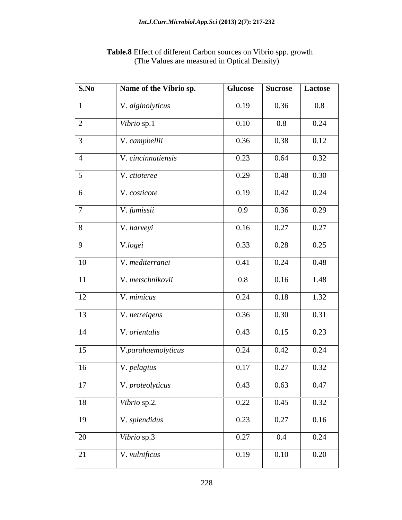| $\mathbf{1}$                  | V. alginolyticus<br>Vibrio sp.1 | 0.19    | 0.36 |         |
|-------------------------------|---------------------------------|---------|------|---------|
| $\boxed{2}$<br>$\overline{4}$ |                                 |         |      | $0.8\,$ |
| $\overline{3}$                |                                 | 0.10    | 0.8  | 0.24    |
|                               | V. campbellii                   | 0.36    | 0.38 | 0.12    |
|                               | V. cincinnatiensis              | 0.23    | 0.64 | 0.32    |
| $\overline{5}$                | V. ctioteree                    | 0.29    | 0.48 | 0.30    |
| 6                             | V. costicote                    | 0.19    | 0.42 | 0.24    |
| $\overline{7}$                | V. fumissii                     | 0.9     | 0.36 | 0.29    |
| 8                             | V. harveyi                      | 0.16    | 0.27 | 0.27    |
| $\overline{9}$                | V.logei                         | 0.33    | 0.28 | 0.25    |
| 10                            | V. mediterranei                 | 0.41    | 0.24 | 0.48    |
| 11                            | V. metschnikovii                | $0.8\,$ | 0.16 | 1.48    |
| 12                            | V. mimicus                      | 0.24    | 0.18 | 1.32    |
| 13                            | V. netreigens                   | 0.36    | 0.30 | 0.31    |
| 14                            | V. orientalis                   | 0.43    | 0.15 | 0.23    |
| 15                            | V.parahaemolyticus              | 0.24    | 0.42 | 0.24    |
| 16                            | V. pelagius                     | 0.17    | 0.27 | 0.32    |
| $\overline{17}$               | V. proteolyticus                | 0.43    | 0.63 | 0.47    |
| 18                            | Vibrio sp.2.                    | 0.22    | 0.45 | 0.32    |
| 19                            | V. splendidus                   | 0.23    | 0.27 | 0.16    |
| 20                            | Vibrio sp.3                     | 0.27    | 0.4  | 0.24    |
| 21                            | V. vulnificus                   | 0.19    | 0.10 | 0.20    |

### **Table.8** Effect of different Carbon sources on Vibrio spp. growth (The Values are measured in Optical Density)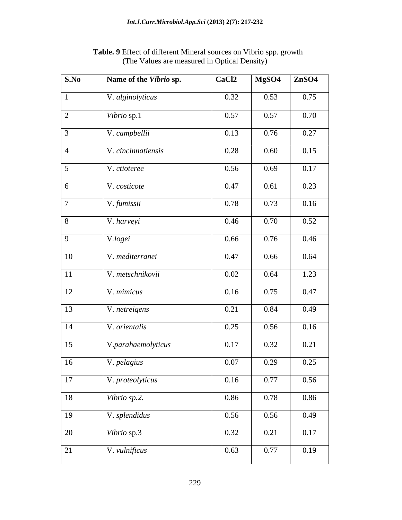| $\mathbf{S}.\mathbf{No}$ | Name of the Vibrio sp. | CaCl <sub>2</sub> | MgSO4 | ZnSO4 |
|--------------------------|------------------------|-------------------|-------|-------|
| $\vert 1 \vert$          | V. alginolyticus       | 0.32              | 0.53  | 0.75  |
| $\boxed{2}$              | Vibrio sp.1            | 0.57              | 0.57  | 0.70  |
| $\sqrt{3}$               | V. campbellii          | 0.13              | 0.76  | 0.27  |
| $\overline{4}$           | V. cincinnatiensis     | 0.28              | 0.60  | 0.15  |
| $5\overline{)}$          | V. ctioteree           | 0.56              | 0.69  | 0.17  |
| $6\overline{6}$          | V. costicote           | 0.47              | 0.61  | 0.23  |
| $\overline{7}$           | V. fumissii            | 0.78              | 0.73  | 0.16  |
| $\sqrt{8}$               | V. harveyi             | 0.46              | 0.70  | 0.52  |
| $\boxed{9}$              | V.logei                | 0.66              | 0.76  | 0.46  |
| $\vert$ 10               | V. mediterranei        | 0.47              | 0.66  | 0.64  |
| $\boxed{11}$             | V. metschnikovii       | 0.02              | 0.64  | 1.23  |
| <sup>12</sup>            | V. mimicus             | 0.16              | 0.75  | 0.47  |
| $\boxed{13}$             | V. netreigens          | 0.21              | 0.84  | 0.49  |
| $\boxed{14}$             | V. orientalis          | 0.25              | 0.56  | 0.16  |
| $\boxed{15}$             | V.parahaemolyticus     | 0.17              | 0.32  | 0.21  |
| $\vert$ 16               | V. pelagius            | 0.07              | 0.29  | 0.25  |
| $\overline{17}$          | V. proteolyticus       | 0.16              | 0.77  | 0.56  |
| <sup>18</sup>            | Vibrio sp.2.           | 0.86              | 0.78  | 0.86  |
| $\boxed{19}$             | V. splendidus          | 0.56              | 0.56  | 0.49  |
| 20                       | Vibrio sp.3            | 0.32              | 0.21  | 0.17  |
| 21                       | V. vulnificus          | 0.63              | 0.77  | 0.19  |

**Table. 9** Effect of different Mineral sources on Vibrio spp. growth (The Values are measured in Optical Density)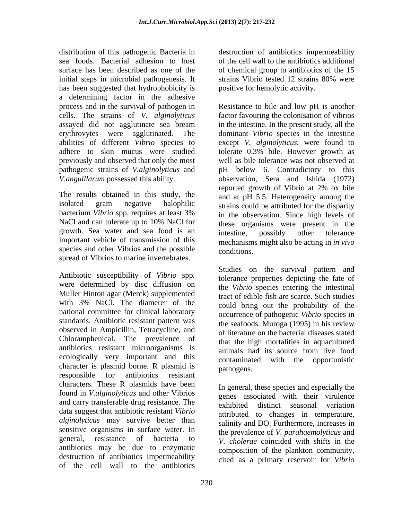distribution of this pathogenic Bacteria in destruction of antibiotics impermeability sea foods. Bacterial adhesion to host of the cell wall to the antibiotics additional surface has been described as one of the of chemical group to antibiotics of the 15 initial steps in microbial pathogenesis. It strains Vibrio tested 12 strains 80% were has been suggested that hydrophobicity is a determining factor in the adhesive cells. The strains of *V. alginolyticus* pathogenic strains of *V.alginolyticus* and

growth. Sea water and sea food is an intestine, possibly other tolerance species and other Vibrios and the possible conditions. spread of Vibrios to marine invertebrates.

Antibiotic susceptibility of *Vibrio* spp*.* were determined by disc diffusion on Muller Hinton agar (Merck) supplemented with 3% NaCl. The diamerer of the national committee for clinical laboratory standards. Antibiotic resistant pattern was observed in Ampicillin, Tetracycline, and Chloramphenical. The prevalence of antibiotics resistant microorganisms is animals had its source from live food ecologically very important and this contaminated with the opportunistic character is plasmid borne. R plasmid is pathogens. responsible for antibiotics resistant rules. characters. These R plasmids have been found in *V.alginolyticus* and other Vibrios and carry transferable drug resistance. The exhibited distinct seasonal variation data suggest that antibiotic resistant *Vibrio alginolyticus* may survive better than sensitive organisms in surface water. In antibiotics may be due to enzymatic destruction of antibiotics impermeability of the cell wall to the antibiotics

strains Vibrio tested 12 strains 80% were positive for hemolytic activity.

process and in the survival of pathogen in Resistance to bile and low pH is another assayed did not agglutinate sea bream in the intestine. In the present study, all the erythrovytes were agglutinated. The dominant *Vibrio* species in the intestine abilities of different *Vibrio* species to except *V. alginolyticus,* were found to adhere to skin mucus were studied tolerate 0.3% bile. However growth as previously and observed that only the most well as bile tolerance was not observed at *V.anguillarum* possessed this ability. observation, Sera and lshida (1972) The results obtained in this study, the settled and at pH 5.5. Heterogeneity among the isolated gram negative halophilic strains could be attributed for the disparity bacterium *Vibrio* spp. requires at least 3% NaCl and can tolerate up to 10% NaCl for these organisms were present in the important vehicle of transmission of this mechanisms might also be acting in *in vivo*  factor favouring the colonisation of vibrios pH below 6. Contradictory to this reported growth of Vibrio at 2% ox bile and at pH 5.5. Heterogeneity among the in the observation. Since high levels of these organisms were present in the intestine, possibly other tolerance conditions.

> Studies on the survival pattern and tolerance properties depicting the fate of the *Vibrio* species entering the intestinal tract of edible fish are scarce. Such studies could bring out the probability of the occurrence of pathogenic *Vibrio* species in the seafoods. Muroga (1995) in his review of literature on the bacterial diseases stated that the high mortalities in aquacultured animals had its source from live food contaminated with the pathogens.

general, resistance of bacteria to *V. cholerae* coincided with shifts in the In general, these species and especially the genes associated with their virulence exhibited distinct seasonal variation attributed to changes in temperature, salinity and DO. Furthermore, increases in the prevalence of *V. parahaemolyticus* and composition of the plankton community, cited as a primary reservoir for *Vibrio*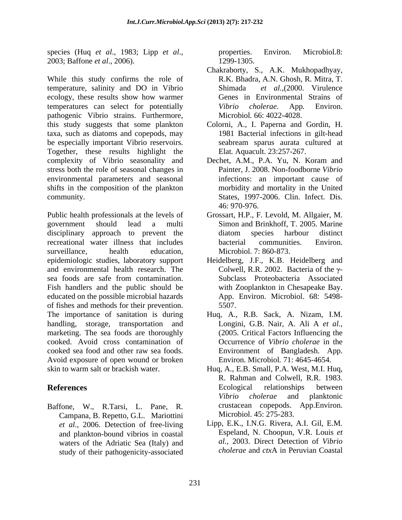species (Huq *et al*., 1983; Lipp *et al*., 2003; Baffone *et al*., 2006).

While this study confirms the role of R.K. Bhadra, A.N. Ghosh, R. Mitra, T. temperature, salinity and DO in Vibrio Shimada et al. (2000. Virulence ecology, these results show how warmer temperatures can select for potentially *Vibrio cholerae*. App. Environ. pathogenic Vibrio strains. Furthermore, this study suggests that some plankton Colorni, A., I. Paperna and Gordin, H. taxa, such as diatoms and copepods, may be especially important Vibrio reservoirs. Together, these results highlight the complexity of Vibrio seasonality and Dechet, A.M., P.A. Yu, N. Koram and stress both the role of seasonal changes in environmental parameters and seasonal shifts in the composition of the plankton community. States, 1997-2006. Clin. Infect. Dis.

government should lead a multi Simon and Brinkhoff, T. 2005. Marine disciplinary approach to prevent the diatom species harbour distinct recreational water illness that includes bacterial communities. Environ. surveillance, health education, Microbiol. 7: 860-873. epidemiologic studies, laboratory support Heidelberg, J.F., K.B. Heidelberg and and environmental health research. The sea foods are safe from contamination. Fish handlers and the public should be educated on the possible microbial hazards of fishes and methods for their prevention. The importance of sanitation is during Huq, A., R.B. Sack, A. Nizam, I.M. handling, storage, transportation and marketing. The sea foods are thoroughly cooked. Avoid cross contamination of Occurrence of *Vibrio cholerae* in the cooked sea food and other raw sea foods. Avoid exposure of open wound or broken skin to warm salt or brackish water. Hug, A., E.B. Small, P.A. West, M.I. Hug,

Baffone, W., R.Tarsi, L. Pane, R. Campana, B. Repetto, G.L. Mariottini *et al.,* 2006. Detection of free-living and plankton-bound vibrios in coastal study of their pathogenicity-associated properties. Environ. Microbiol*.*8: 1299-1305.

- Chakraborty, S., A.K. Mukhopadhyay, Shimada *et al.*, (2000. Virulence Genes in Environmental Strains of *Vibrio cholerae*. App*.* Environ. Microbiol*.* 66: 4022-4028.
- 1981 Bacterial infections in gilt-head seabream sparus aurata cultured at Elat*.* Aquacult. 23:257-267.
- Dechet, A.M., P.A. Yu, N. Koram and Painter, J. 2008. Non-foodborne *Vibrio*  infections: an important cause of morbidity and mortality in the United 46: 970-976.
- 46: 970-976.<br>Public health professionals at the levels of Grossart, H.P., F. Levold, M. Allgaier, M. Grossart, H.P., F. Levold, M. Allgaier, M. diatom species harbour distinct bacterial communities. Environ. Microbiol. 7: 860-873.
	- Colwell, R.R. 2002. Bacteria of the  $\gamma$ -Subclass Proteobacteria Associated with Zooplankton in Chesapeake Bay. App. Environ. Microbiol. 68: 5498- 5507.
	- Longini, G.B. Nair, A. Ali A *et al.,* (2005. Critical Factors Influencing the Environment of Bangladesh. App. Environ. Microbiol*.* 71: 4645-4654.
- **References** Ecological relationships between Huq, A., E.B. Small, P.A. West, M.I. Huq, R. Rahman and Colwell, R.R. 1983. Ecological relationships between *Vibrio cholerae* and planktonic crustacean copepods. App.Environ. Microbiol. 45: 275-283.
	- waters of the Adriatic Sea (Italy) and *al.*, 2003. Direct Detection of *Vibrio*<br>study of their pathogenicity-associated *cholerae* and *ctx*A in Peruvian Coastal Lipp, E.K., I.N.G. Rivera, A.I. Gil, E.M. Espeland, N. Choopun, V.R. Louis *et al.,* 2003. Direct Detection of *Vibrio cholerae* and *ctx*A in Peruvian Coastal